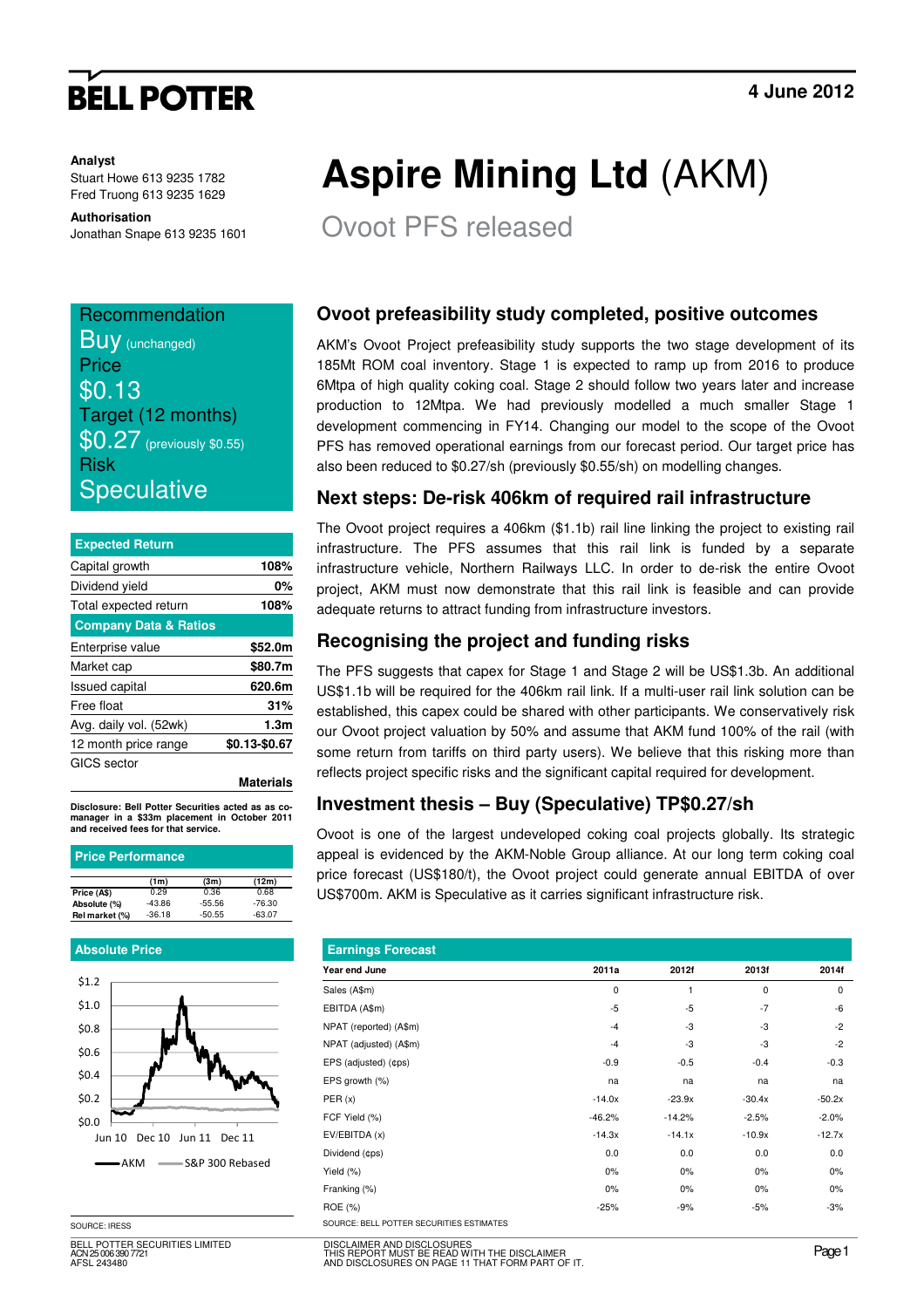# **BELL POTTER**

#### **Analyst**

Stuart Howe 613 9235 1782 Fred Truong 613 9235 1629

#### **Authorisation**

Jonathan Snape 613 9235 1601

### Recommendation **BUV** (unchanged) **Price** \$0.13 Target (12 months) **\$0.27** (previously \$0.55) Risk **Speculative**

| <b>Expected Return</b>           |                  |
|----------------------------------|------------------|
| Capital growth                   | 108%             |
| Dividend yield                   | 0%               |
| Total expected return            | 108%             |
| <b>Company Data &amp; Ratios</b> |                  |
| Enterprise value                 | \$52.0m          |
| Market cap                       | \$80.7m          |
| <b>Issued capital</b>            | 620.6m           |
| Free float                       | 31%              |
| Avg. daily vol. (52wk)           | 1.3 <sub>m</sub> |
| 12 month price range             | \$0.13-\$0.67    |
| GICS sector                      |                  |

**Materials**

**Disclosure: Bell Potter Securities acted as as comanager in a \$33m placement in October 2011 and received fees for that service.** 

#### **Price Performance**

|                | (1m)     | (3m)     | (12m)    |  |
|----------------|----------|----------|----------|--|
| Price (A\$)    | 0.29     | 0.36     | 0.68     |  |
| Absolute (%)   | $-43.86$ | $-55.56$ | -76.30   |  |
| Rel market (%) | $-36.18$ | $-50.55$ | $-63.07$ |  |
|                |          |          |          |  |

#### **Absolute Price**



SOURCE: IRESS

BELL POTTER SECURITIES LIMITED ACN 25 006 390 7721 AFSL 243480

# **Aspire Mining Ltd** (AKM)

Ovoot PFS released

#### **Ovoot prefeasibility study completed, positive outcomes**

AKM's Ovoot Project prefeasibility study supports the two stage development of its 185Mt ROM coal inventory. Stage 1 is expected to ramp up from 2016 to produce 6Mtpa of high quality coking coal. Stage 2 should follow two years later and increase production to 12Mtpa. We had previously modelled a much smaller Stage 1 development commencing in FY14. Changing our model to the scope of the Ovoot PFS has removed operational earnings from our forecast period. Our target price has also been reduced to \$0.27/sh (previously \$0.55/sh) on modelling changes.

#### **Next steps: De-risk 406km of required rail infrastructure**

The Ovoot project requires a 406km (\$1.1b) rail line linking the project to existing rail infrastructure. The PFS assumes that this rail link is funded by a separate infrastructure vehicle, Northern Railways LLC. In order to de-risk the entire Ovoot project, AKM must now demonstrate that this rail link is feasible and can provide adequate returns to attract funding from infrastructure investors.

#### **Recognising the project and funding risks**

The PFS suggests that capex for Stage 1 and Stage 2 will be US\$1.3b. An additional US\$1.1b will be required for the 406km rail link. If a multi-user rail link solution can be established, this capex could be shared with other participants. We conservatively risk our Ovoot project valuation by 50% and assume that AKM fund 100% of the rail (with some return from tariffs on third party users). We believe that this risking more than reflects project specific risks and the significant capital required for development.

#### **Investment thesis – Buy (Speculative) TP\$0.27/sh**

Ovoot is one of the largest undeveloped coking coal projects globally. Its strategic appeal is evidenced by the AKM-Noble Group alliance. At our long term coking coal price forecast (US\$180/t), the Ovoot project could generate annual EBITDA of over US\$700m. AKM is Speculative as it carries significant infrastructure risk.

| <b>Earnings Forecast</b>                 |          |          |          |          |
|------------------------------------------|----------|----------|----------|----------|
| Year end June                            | 2011a    | 2012f    | 2013f    | 2014f    |
| Sales (A\$m)                             | 0        | 1        | 0        | 0        |
| EBITDA (A\$m)                            | $-5$     | $-5$     | $-7$     | -6       |
| NPAT (reported) (A\$m)                   | $-4$     | -3       | -3       | $-2$     |
| NPAT (adjusted) (A\$m)                   | $-4$     | -3       | -3       | $-2$     |
| EPS (adjusted) (¢ps)                     | $-0.9$   | $-0.5$   | $-0.4$   | $-0.3$   |
| EPS growth (%)                           | na       | na       | na       | na       |
| PER(x)                                   | $-14.0x$ | $-23.9x$ | $-30.4x$ | $-50.2x$ |
| FCF Yield (%)                            | $-46.2%$ | $-14.2%$ | $-2.5%$  | $-2.0%$  |
| EV/EBITDA (x)                            | $-14.3x$ | $-14.1x$ | $-10.9x$ | $-12.7x$ |
| Dividend (¢ps)                           | 0.0      | 0.0      | 0.0      | 0.0      |
| Yield (%)                                | 0%       | 0%       | 0%       | $0\%$    |
| Franking (%)                             | 0%       | 0%       | 0%       | 0%       |
| ROE (%)                                  | $-25%$   | $-9%$    | $-5%$    | $-3%$    |
| SOURCE: BELL POTTER SECURITIES ESTIMATES |          |          |          |          |

DISCLAIMER AND DISCLOSURES THIS REPORT MUST BE READ WITH THE DISCLAIMER AND DISCLOSURES ON PAGE 11 THAT FORM PART OF IT.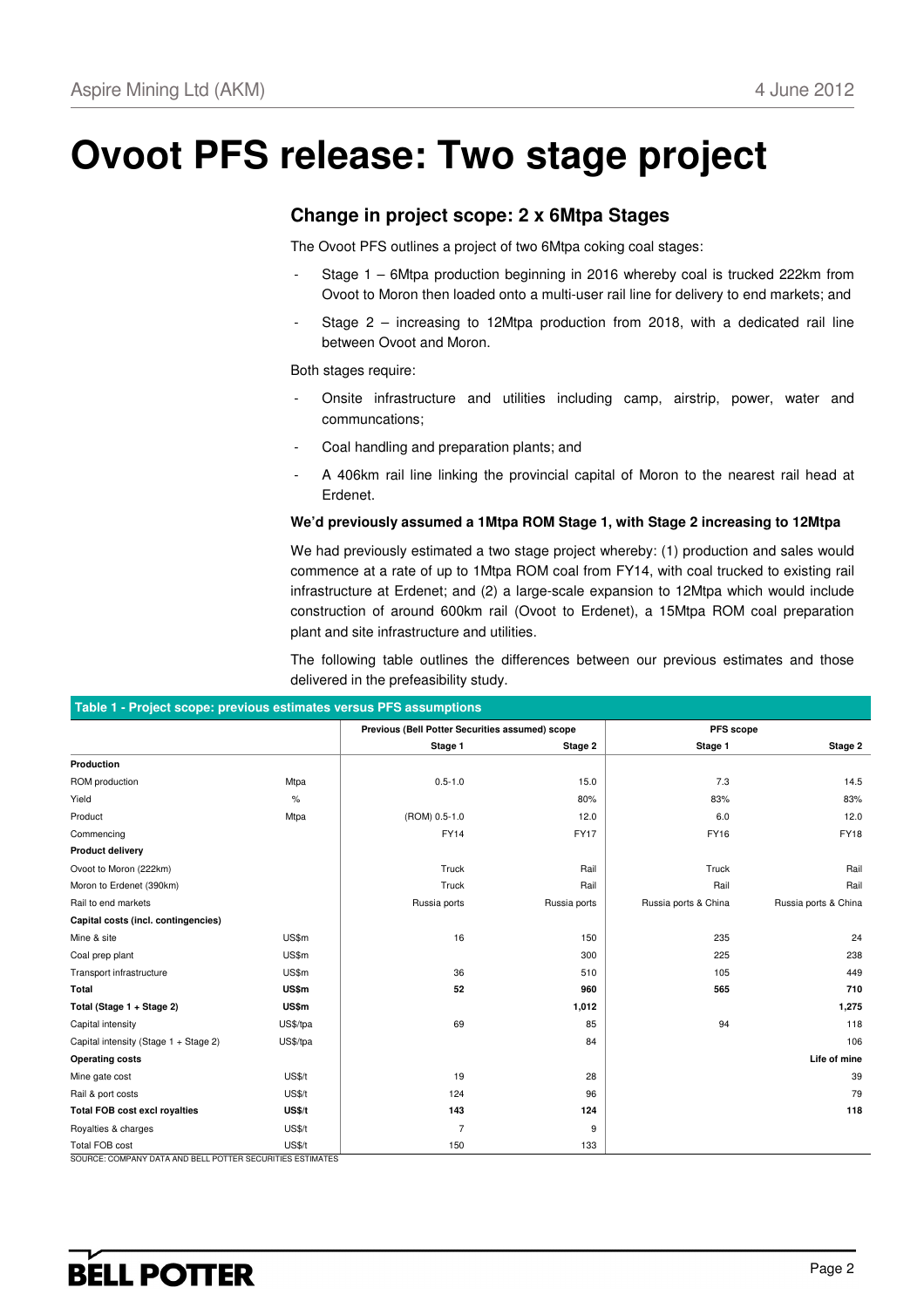# **Ovoot PFS release: Two stage project**

#### **Change in project scope: 2 x 6Mtpa Stages**

The Ovoot PFS outlines a project of two 6Mtpa coking coal stages:

- Stage 1 6Mtpa production beginning in 2016 whereby coal is trucked 222km from Ovoot to Moron then loaded onto a multi-user rail line for delivery to end markets; and
- Stage  $2$  increasing to 12Mtpa production from 2018, with a dedicated rail line between Ovoot and Moron.

Both stages require:

- Onsite infrastructure and utilities including camp, airstrip, power, water and communcations;
- Coal handling and preparation plants; and
- A 406km rail line linking the provincial capital of Moron to the nearest rail head at Erdenet.

#### **We'd previously assumed a 1Mtpa ROM Stage 1, with Stage 2 increasing to 12Mtpa**

We had previously estimated a two stage project whereby: (1) production and sales would commence at a rate of up to 1Mtpa ROM coal from FY14, with coal trucked to existing rail infrastructure at Erdenet; and (2) a large-scale expansion to 12Mtpa which would include construction of around 600km rail (Ovoot to Erdenet), a 15Mtpa ROM coal preparation plant and site infrastructure and utilities.

The following table outlines the differences between our previous estimates and those delivered in the prefeasibility study.

| Table T - Project scope: previous estimates versus PFS assumptions |               |                                                 |              |                      |                      |
|--------------------------------------------------------------------|---------------|-------------------------------------------------|--------------|----------------------|----------------------|
|                                                                    |               | Previous (Bell Potter Securities assumed) scope |              | PFS scope            |                      |
|                                                                    |               | Stage 1                                         | Stage 2      | Stage 1              | Stage 2              |
| Production                                                         |               |                                                 |              |                      |                      |
| ROM production                                                     | Mtpa          | $0.5 - 1.0$                                     | 15.0         | 7.3                  | 14.5                 |
| Yield                                                              | %             |                                                 | 80%          | 83%                  | 83%                  |
| Product                                                            | Mtpa          | (ROM) 0.5-1.0                                   | 12.0         | 6.0                  | 12.0                 |
| Commencing                                                         |               | <b>FY14</b>                                     | <b>FY17</b>  | FY16                 | <b>FY18</b>          |
| <b>Product delivery</b>                                            |               |                                                 |              |                      |                      |
| Ovoot to Moron (222km)                                             |               | Truck                                           | Rail         | Truck                | Rail                 |
| Moron to Erdenet (390km)                                           |               | Truck                                           | Rail         | Rail                 | Rail                 |
| Rail to end markets                                                |               | Russia ports                                    | Russia ports | Russia ports & China | Russia ports & China |
| Capital costs (incl. contingencies)                                |               |                                                 |              |                      |                      |
| Mine & site                                                        | US\$m         | 16                                              | 150          | 235                  | 24                   |
| Coal prep plant                                                    | US\$m         |                                                 | 300          | 225                  | 238                  |
| Transport infrastructure                                           | US\$m         | 36                                              | 510          | 105                  | 449                  |
| Total                                                              | US\$m         | 52                                              | 960          | 565                  | 710                  |
| Total (Stage 1 + Stage 2)                                          | <b>US\$m</b>  |                                                 | 1,012        |                      | 1,275                |
| Capital intensity                                                  | US\$/tpa      | 69                                              | 85           | 94                   | 118                  |
| Capital intensity (Stage 1 + Stage 2)                              | US\$/tpa      |                                                 | 84           |                      | 106                  |
| <b>Operating costs</b>                                             |               |                                                 |              |                      | Life of mine         |
| Mine gate cost                                                     | <b>US\$/t</b> | 19                                              | 28           |                      | 39                   |
| Rail & port costs                                                  | <b>US\$/t</b> | 124                                             | 96           |                      | 79                   |
| <b>Total FOB cost excl royalties</b>                               | US\$/t        | 143                                             | 124          |                      | 118                  |
| Royalties & charges                                                | <b>US\$/t</b> | $\overline{7}$                                  | 9            |                      |                      |
| <b>Total FOB cost</b>                                              | <b>US\$/t</b> | 150                                             | 133          |                      |                      |

#### **Table 1 - Project scope: previous estimates versus PFS assumptions**

SOURCE: COMPANY DATA AND BELL POTTER SECURITIES ESTIMATES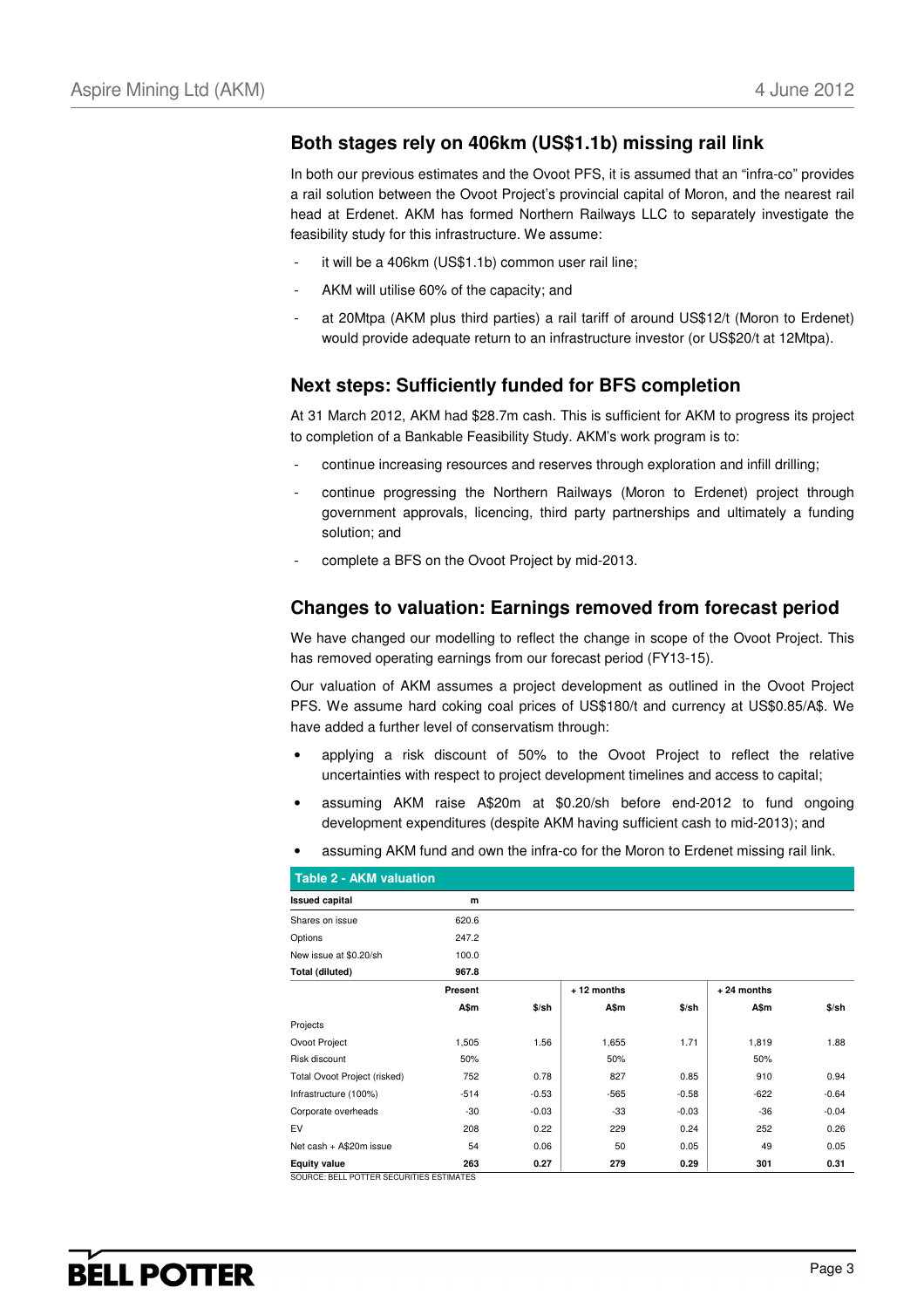#### **Both stages rely on 406km (US\$1.1b) missing rail link**

In both our previous estimates and the Ovoot PFS, it is assumed that an "infra-co" provides a rail solution between the Ovoot Project's provincial capital of Moron, and the nearest rail head at Erdenet. AKM has formed Northern Railways LLC to separately investigate the feasibility study for this infrastructure. We assume:

- it will be a 406km (US\$1.1b) common user rail line;
- AKM will utilise 60% of the capacity; and
- at 20Mtpa (AKM plus third parties) a rail tariff of around US\$12/t (Moron to Erdenet) would provide adequate return to an infrastructure investor (or US\$20/t at 12Mtpa).

#### **Next steps: Sufficiently funded for BFS completion**

At 31 March 2012, AKM had \$28.7m cash. This is sufficient for AKM to progress its project to completion of a Bankable Feasibility Study. AKM's work program is to:

- continue increasing resources and reserves through exploration and infill drilling;
- continue progressing the Northern Railways (Moron to Erdenet) project through government approvals, licencing, third party partnerships and ultimately a funding solution; and
- complete a BFS on the Ovoot Project by mid-2013.

#### **Changes to valuation: Earnings removed from forecast period**

We have changed our modelling to reflect the change in scope of the Ovoot Project. This has removed operating earnings from our forecast period (FY13-15).

Our valuation of AKM assumes a project development as outlined in the Ovoot Project PFS. We assume hard coking coal prices of US\$180/t and currency at US\$0.85/A\$. We have added a further level of conservatism through:

- applying a risk discount of 50% to the Ovoot Project to reflect the relative uncertainties with respect to project development timelines and access to capital;
- assuming AKM raise A\$20m at \$0.20/sh before end-2012 to fund ongoing development expenditures (despite AKM having sufficient cash to mid-2013); and
- assuming AKM fund and own the infra-co for the Moron to Erdenet missing rail link.

| <b>Table 2 - AKM valuation</b>           |         |         |            |         |              |         |
|------------------------------------------|---------|---------|------------|---------|--------------|---------|
| <b>Issued capital</b>                    | m       |         |            |         |              |         |
| Shares on issue                          | 620.6   |         |            |         |              |         |
| Options                                  | 247.2   |         |            |         |              |         |
| New issue at \$0.20/sh                   | 100.0   |         |            |         |              |         |
| Total (diluted)                          | 967.8   |         |            |         |              |         |
|                                          | Present |         | +12 months |         | $+24$ months |         |
|                                          | A\$m    | $$$ /sh | A\$m       | $$$ /sh | A\$m         | \$/sh   |
| Projects                                 |         |         |            |         |              |         |
| Ovoot Project                            | 1,505   | 1.56    | 1,655      | 1.71    | 1,819        | 1.88    |
| Risk discount                            | 50%     |         | 50%        |         | 50%          |         |
| Total Ovoot Project (risked)             | 752     | 0.78    | 827        | 0.85    | 910          | 0.94    |
| Infrastructure (100%)                    | $-514$  | $-0.53$ | $-565$     | $-0.58$ | $-622$       | $-0.64$ |
| Corporate overheads                      | $-30$   | $-0.03$ | $-33$      | $-0.03$ | $-36$        | $-0.04$ |
| EV                                       | 208     | 0.22    | 229        | 0.24    | 252          | 0.26    |
| Net cash + A\$20m issue                  | 54      | 0.06    | 50         | 0.05    | 49           | 0.05    |
| <b>Equity value</b>                      | 263     | 0.27    | 279        | 0.29    | 301          | 0.31    |
| SOURCE: BELL POTTER SECURITIES ESTIMATES |         |         |            |         |              |         |

SOURCE: BELL POTTER SECURITIES ESTIMATES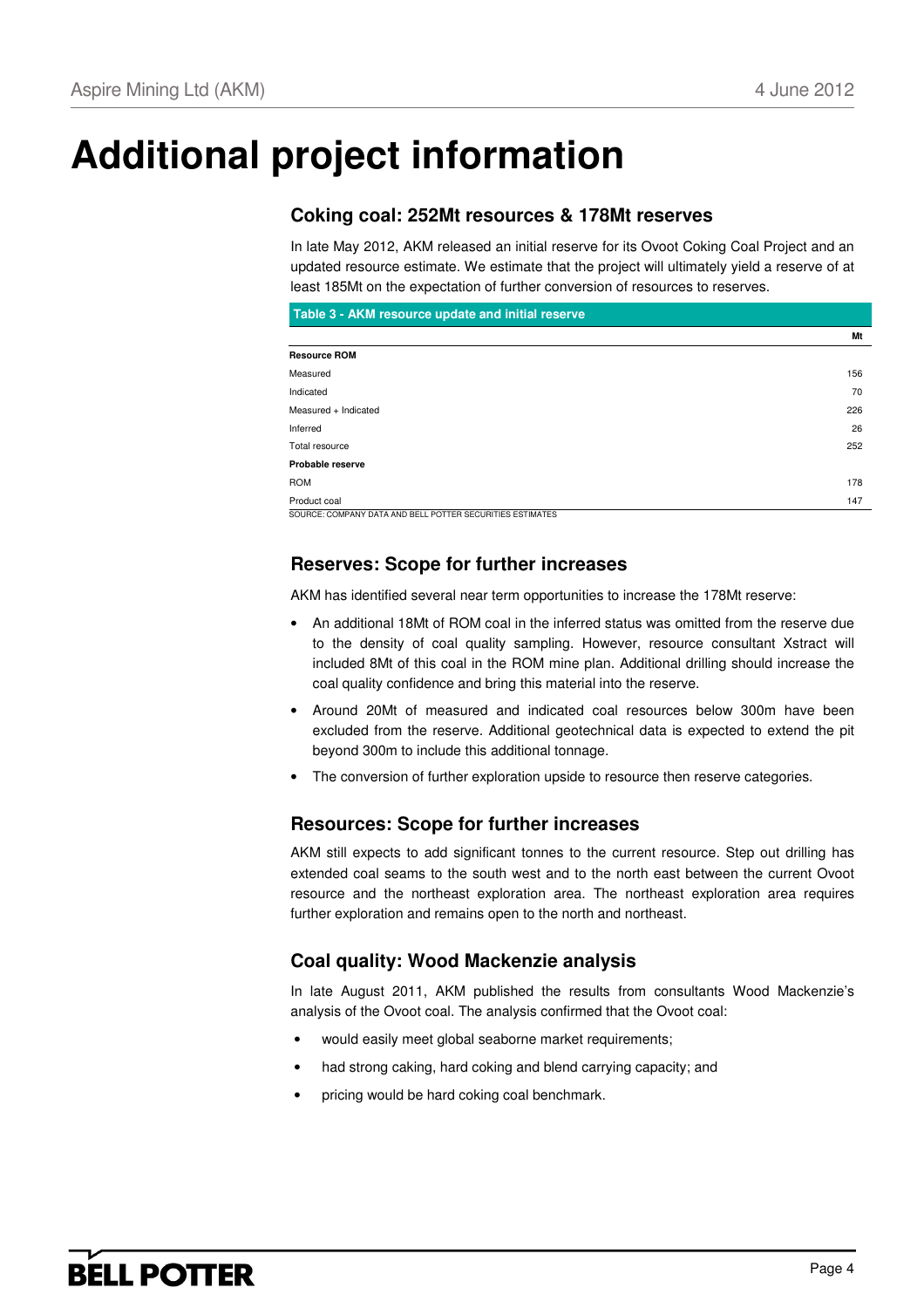# **Additional project information**

### **Coking coal: 252Mt resources & 178Mt reserves**

In late May 2012, AKM released an initial reserve for its Ovoot Coking Coal Project and an updated resource estimate. We estimate that the project will ultimately yield a reserve of at least 185Mt on the expectation of further conversion of resources to reserves.

| Table 3 - AKM resource update and initial reserve |     |
|---------------------------------------------------|-----|
|                                                   | Mt  |
| <b>Resource ROM</b>                               |     |
| Measured                                          | 156 |
| Indicated                                         | 70  |
| Measured + Indicated                              | 226 |
| Inferred                                          | 26  |
| Total resource                                    | 252 |
| Probable reserve                                  |     |
| <b>ROM</b>                                        | 178 |
| Product coal                                      | 147 |

SOURCE: COMPANY DATA AND BELL POTTER SECURITIES ESTIMATES

#### **Reserves: Scope for further increases**

AKM has identified several near term opportunities to increase the 178Mt reserve:

- An additional 18Mt of ROM coal in the inferred status was omitted from the reserve due to the density of coal quality sampling. However, resource consultant Xstract will included 8Mt of this coal in the ROM mine plan. Additional drilling should increase the coal quality confidence and bring this material into the reserve.
- Around 20Mt of measured and indicated coal resources below 300m have been excluded from the reserve. Additional geotechnical data is expected to extend the pit beyond 300m to include this additional tonnage.
- The conversion of further exploration upside to resource then reserve categories.

### **Resources: Scope for further increases**

AKM still expects to add significant tonnes to the current resource. Step out drilling has extended coal seams to the south west and to the north east between the current Ovoot resource and the northeast exploration area. The northeast exploration area requires further exploration and remains open to the north and northeast.

### **Coal quality: Wood Mackenzie analysis**

In late August 2011, AKM published the results from consultants Wood Mackenzie's analysis of the Ovoot coal. The analysis confirmed that the Ovoot coal:

- would easily meet global seaborne market requirements;
- had strong caking, hard coking and blend carrying capacity; and
- pricing would be hard coking coal benchmark.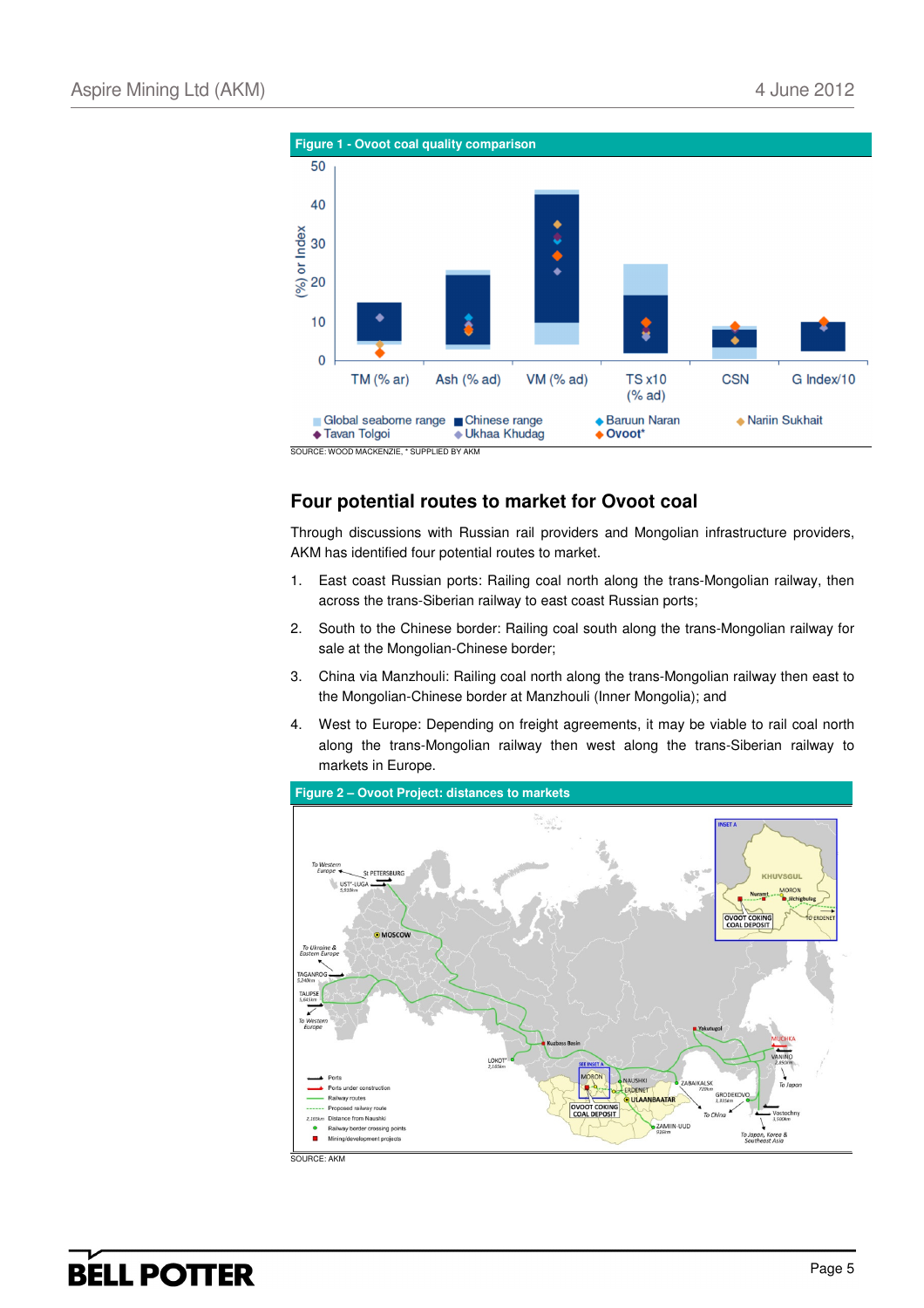

SOURCE: WOOD MACKENZIE, \* SUPPLIED BY AKM

### **Four potential routes to market for Ovoot coal**

Through discussions with Russian rail providers and Mongolian infrastructure providers, AKM has identified four potential routes to market.

- 1. East coast Russian ports: Railing coal north along the trans-Mongolian railway, then across the trans-Siberian railway to east coast Russian ports;
- 2. South to the Chinese border: Railing coal south along the trans-Mongolian railway for sale at the Mongolian-Chinese border;
- 3. China via Manzhouli: Railing coal north along the trans-Mongolian railway then east to the Mongolian-Chinese border at Manzhouli (Inner Mongolia); and
- 4. West to Europe: Depending on freight agreements, it may be viable to rail coal north along the trans-Mongolian railway then west along the trans-Siberian railway to markets in Europe.

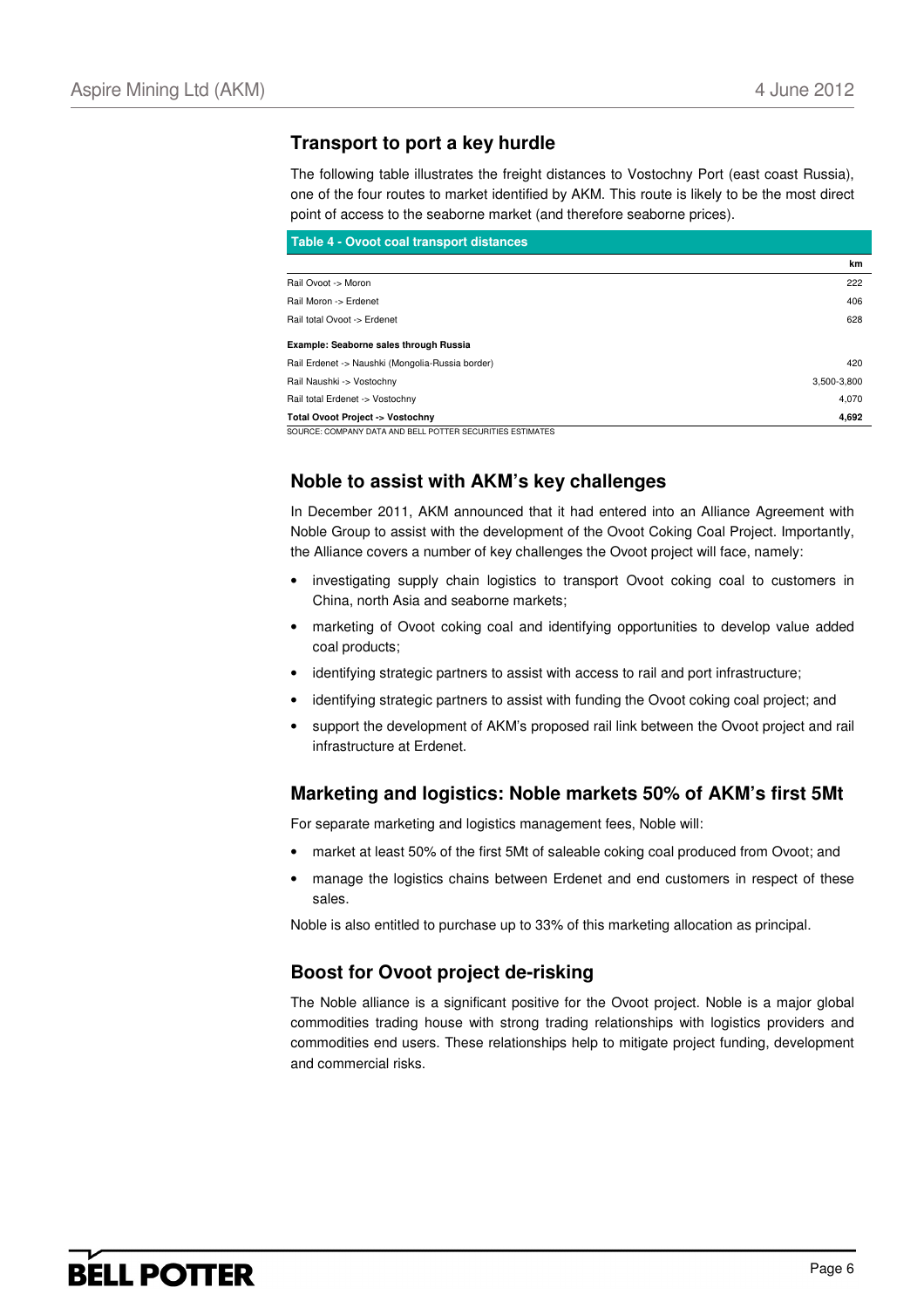#### **Transport to port a key hurdle**

The following table illustrates the freight distances to Vostochny Port (east coast Russia), one of the four routes to market identified by AKM. This route is likely to be the most direct point of access to the seaborne market (and therefore seaborne prices).

| Table 4 - Ovoot coal transport distances                  |             |
|-----------------------------------------------------------|-------------|
|                                                           | km          |
| Rail Ovoot -> Moron                                       | 222         |
| Rail Moron -> Erdenet                                     | 406         |
| Rail total Ovoot -> Erdenet                               | 628         |
| Example: Seaborne sales through Russia                    |             |
| Rail Erdenet -> Naushki (Mongolia-Russia border)          | 420         |
| Rail Naushki -> Vostochny                                 | 3,500-3,800 |
| Rail total Erdenet -> Vostochny                           | 4,070       |
| <b>Total Ovoot Project -&gt; Vostochny</b>                | 4,692       |
| SOURCE: COMPANY DATA AND BELL POTTER SECURITIES ESTIMATES |             |

### **Noble to assist with AKM's key challenges**

In December 2011, AKM announced that it had entered into an Alliance Agreement with Noble Group to assist with the development of the Ovoot Coking Coal Project. Importantly, the Alliance covers a number of key challenges the Ovoot project will face, namely:

- investigating supply chain logistics to transport Ovoot coking coal to customers in China, north Asia and seaborne markets;
- marketing of Ovoot coking coal and identifying opportunities to develop value added coal products;
- identifying strategic partners to assist with access to rail and port infrastructure;
- identifying strategic partners to assist with funding the Ovoot coking coal project; and
- support the development of AKM's proposed rail link between the Ovoot project and rail infrastructure at Erdenet.

#### **Marketing and logistics: Noble markets 50% of AKM's first 5Mt**

For separate marketing and logistics management fees, Noble will:

- market at least 50% of the first 5Mt of saleable coking coal produced from Ovoot; and
- manage the logistics chains between Erdenet and end customers in respect of these sales.

Noble is also entitled to purchase up to 33% of this marketing allocation as principal.

#### **Boost for Ovoot project de-risking**

The Noble alliance is a significant positive for the Ovoot project. Noble is a major global commodities trading house with strong trading relationships with logistics providers and commodities end users. These relationships help to mitigate project funding, development and commercial risks.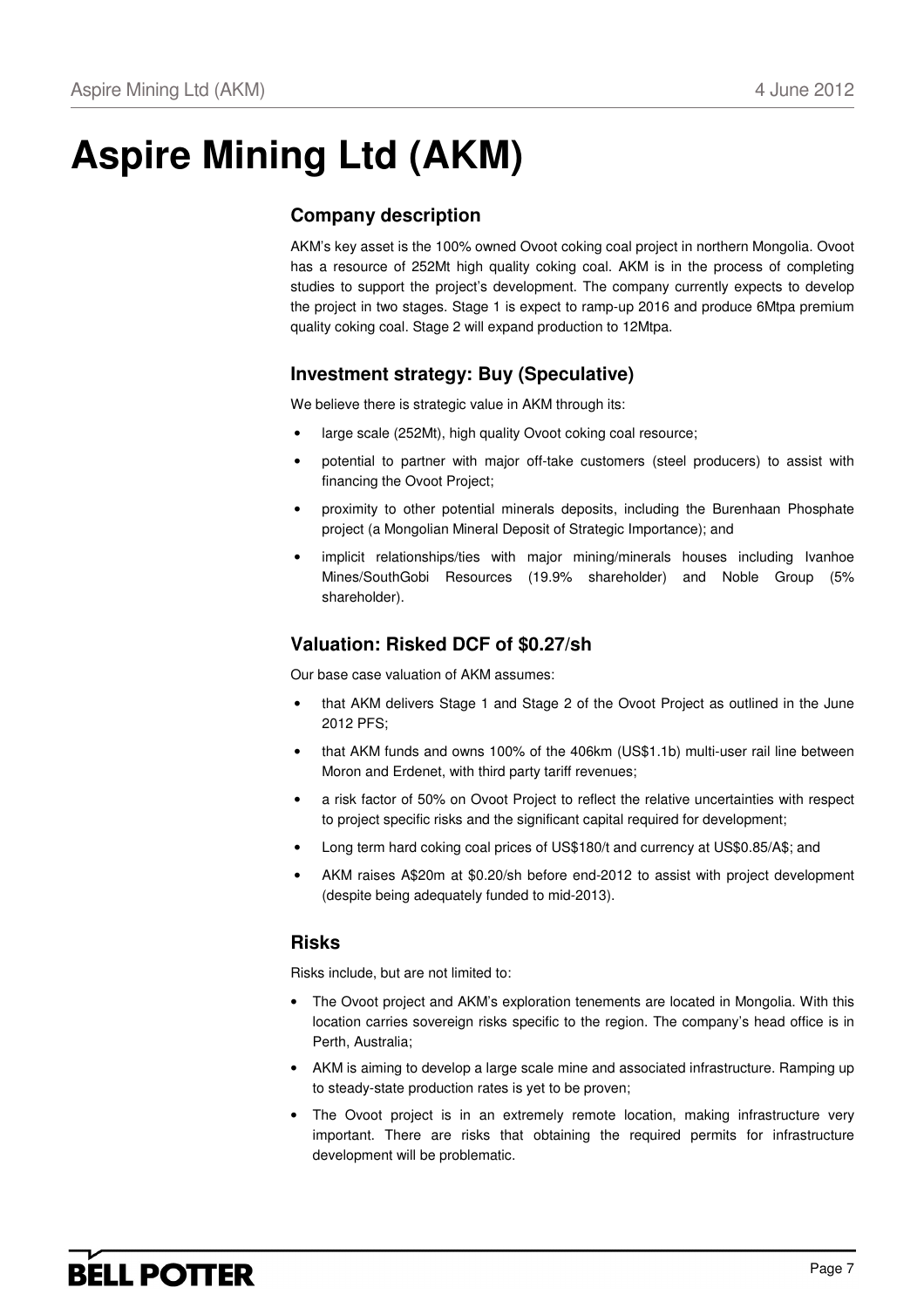# **Aspire Mining Ltd (AKM)**

### **Company description**

AKM's key asset is the 100% owned Ovoot coking coal project in northern Mongolia. Ovoot has a resource of 252Mt high quality coking coal. AKM is in the process of completing studies to support the project's development. The company currently expects to develop the project in two stages. Stage 1 is expect to ramp-up 2016 and produce 6Mtpa premium quality coking coal. Stage 2 will expand production to 12Mtpa.

### **Investment strategy: Buy (Speculative)**

We believe there is strategic value in AKM through its:

- large scale (252Mt), high quality Ovoot coking coal resource;
- potential to partner with major off-take customers (steel producers) to assist with financing the Ovoot Project;
- proximity to other potential minerals deposits, including the Burenhaan Phosphate project (a Mongolian Mineral Deposit of Strategic Importance); and
- implicit relationships/ties with major mining/minerals houses including Ivanhoe Mines/SouthGobi Resources (19.9% shareholder) and Noble Group (5% shareholder).

### **Valuation: Risked DCF of \$0.27/sh**

Our base case valuation of AKM assumes:

- that AKM delivers Stage 1 and Stage 2 of the Ovoot Project as outlined in the June 2012 PFS;
- that AKM funds and owns 100% of the 406km (US\$1.1b) multi-user rail line between Moron and Erdenet, with third party tariff revenues;
- a risk factor of 50% on Ovoot Project to reflect the relative uncertainties with respect to project specific risks and the significant capital required for development;
- Long term hard coking coal prices of US\$180/t and currency at US\$0.85/A\$; and
- AKM raises A\$20m at \$0.20/sh before end-2012 to assist with project development (despite being adequately funded to mid-2013).

#### **Risks**

Risks include, but are not limited to:

- The Ovoot project and AKM's exploration tenements are located in Mongolia. With this location carries sovereign risks specific to the region. The company's head office is in Perth, Australia;
- AKM is aiming to develop a large scale mine and associated infrastructure. Ramping up to steady-state production rates is yet to be proven;
- The Ovoot project is in an extremely remote location, making infrastructure very important. There are risks that obtaining the required permits for infrastructure development will be problematic.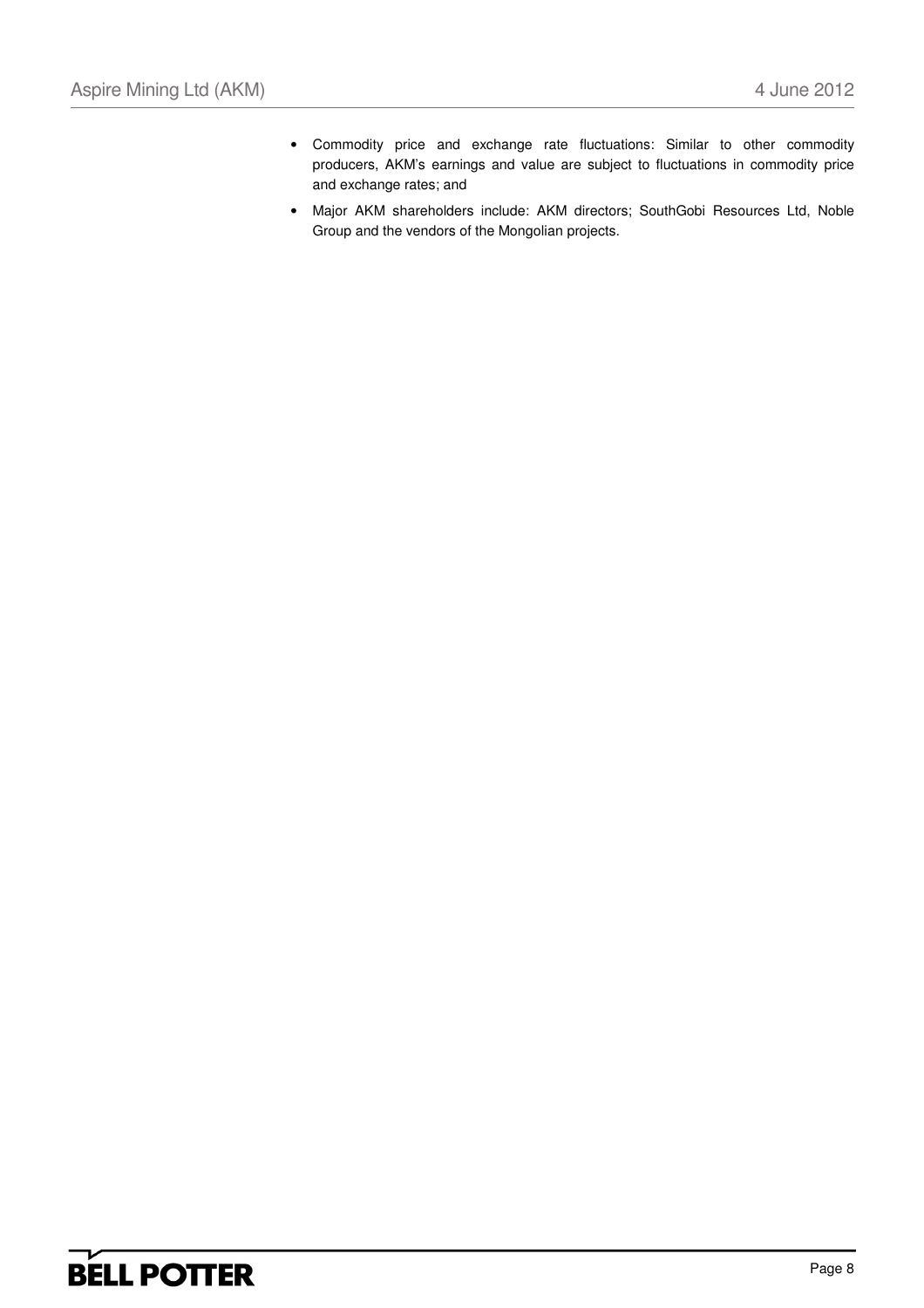- Commodity price and exchange rate fluctuations: Similar to other commodity producers, AKM's earnings and value are subject to fluctuations in commodity price and exchange rates; and
- Major AKM shareholders include: AKM directors; SouthGobi Resources Ltd, Noble Group and the vendors of the Mongolian projects.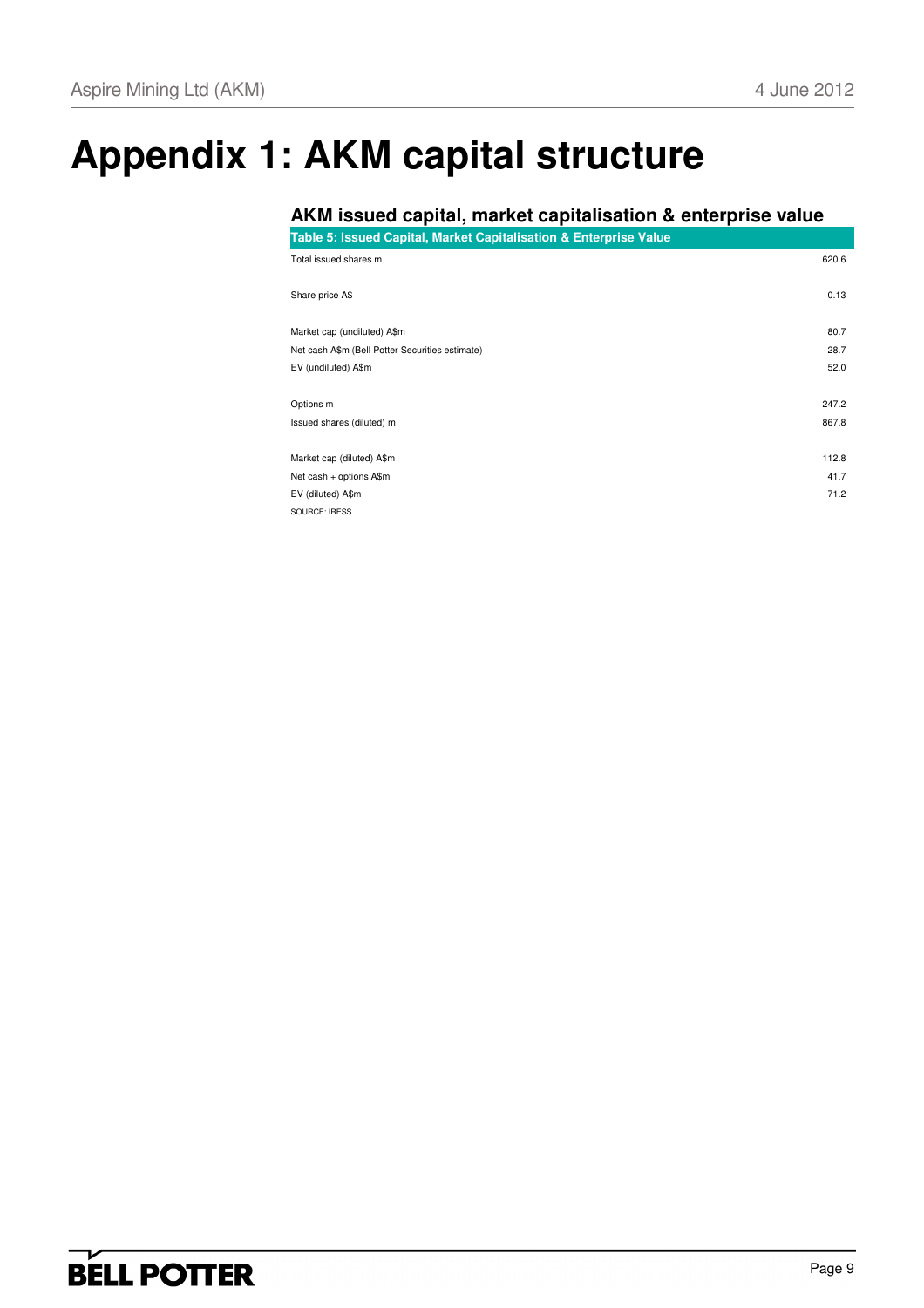# **Appendix 1: AKM capital structure**

### **AKM issued capital, market capitalisation & enterprise value**

**Table 5: Issued Capital, Market Capitalisation & Enterprise Value** Total issued shares m 620.6

| Share price A\$                                 | 0.13  |
|-------------------------------------------------|-------|
| Market cap (undiluted) A\$m                     | 80.7  |
| Net cash A\$m (Bell Potter Securities estimate) | 28.7  |
| EV (undiluted) A\$m                             | 52.0  |
| Options m                                       | 247.2 |
| Issued shares (diluted) m                       | 867.8 |
| Market cap (diluted) A\$m                       | 112.8 |
| Net cash + options A\$m                         | 41.7  |
| EV (diluted) A\$m                               | 71.2  |
| SOLIBCE: IRESS                                  |       |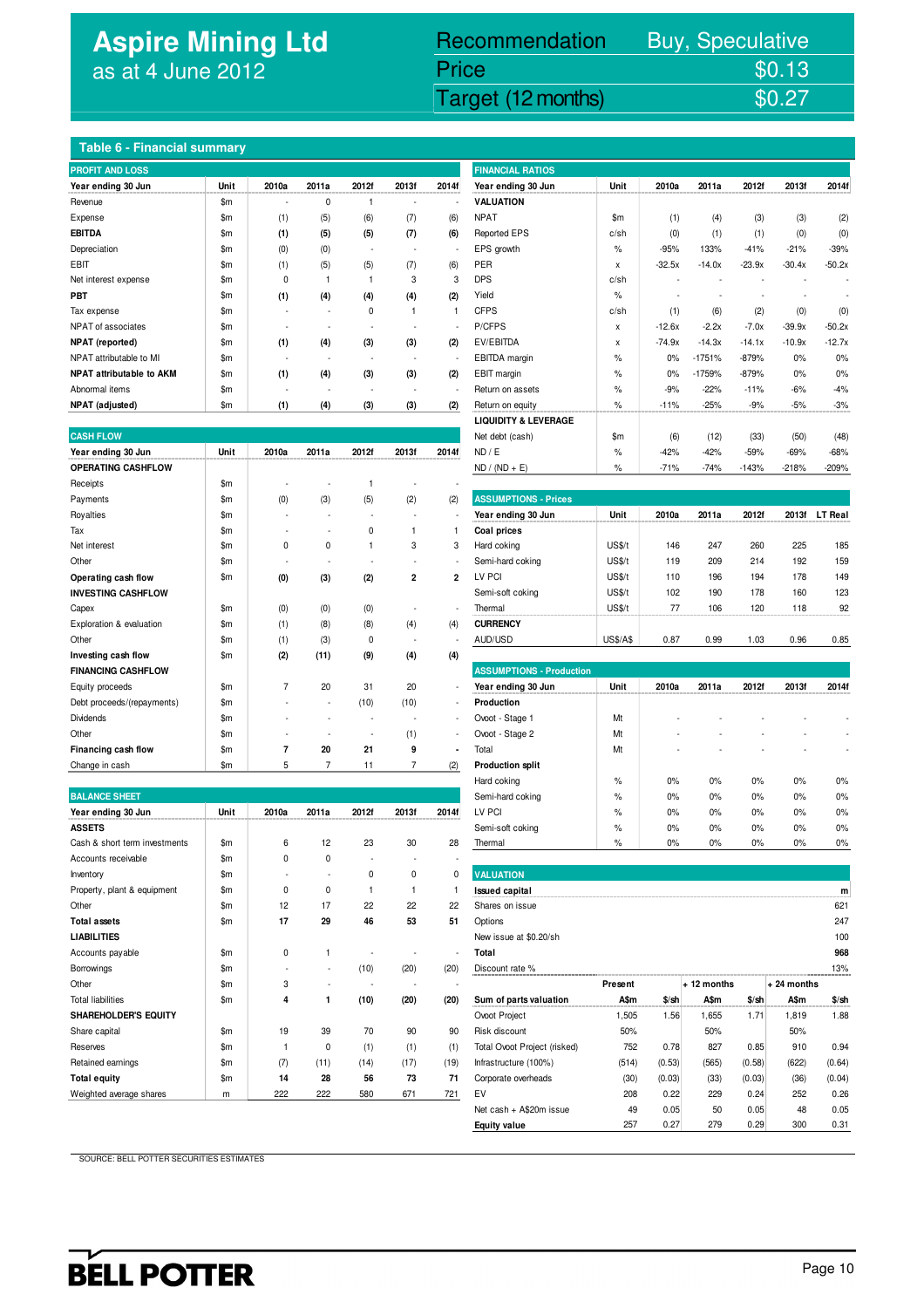## **Aspire Mining Ltd** as at 4 June 2012

## Assume 2012 Target (12 months) \$0.27 Recommendation Buy, Speculative Price \$0.13<br>Target (12 months) \$0.27

#### **Table 6 - Financial summary**

| <b>PROFIT AND LOSS</b>          |               | <b>FINANCIAL RATIOS</b> |       |          |       |       |                    |               |          |          |          |          |          |
|---------------------------------|---------------|-------------------------|-------|----------|-------|-------|--------------------|---------------|----------|----------|----------|----------|----------|
| Year ending 30 Jun              | Unit          | 2010a                   | 2011a | 2012f    | 2013f | 2014f | Year ending 30 Jun | Unit          | 2010a    | 2011a    | 2012f    | 2013f    | 20141    |
| Revenue                         | $\mathsf{Sm}$ |                         | 0     |          |       |       | <b>VALUATION</b>   |               |          |          |          |          |          |
| Expense                         | \$m           | (1)                     | (5)   | (6)      | (7)   | (6)   | <b>NPAT</b>        | $\mathsf{Sm}$ | (1)      | (4)      | (3)      | (3)      | (2)      |
| <b>EBITDA</b>                   | $\mathsf{Sm}$ | (1)                     | (5)   | (5)      | (7)   | (6)   | Reported EPS       | c/sh          | (0)      | (1)      | (1)      | (0)      | (0)      |
| Depreciation                    | $\mathsf{Sm}$ | (0)                     | (0)   |          |       |       | EPS growth         | $\%$          | $-95%$   | 133%     | $-41%$   | $-21%$   | $-39%$   |
| <b>EBIT</b>                     | $\mathsf{Sm}$ | (1)                     | (5)   | (5)      | (7)   | (6)   | PER                | X             | $-32.5x$ | $-14.0x$ | $-23.9x$ | $-30.4x$ | $-50.2x$ |
| Net interest expense            | \$m           | 0                       |       |          | 3     | 3     | <b>DPS</b>         | c/sh          |          |          |          |          |          |
| <b>PBT</b>                      | $\mathsf{Sm}$ | (1)                     | (4)   | (4)      | (4)   | (2)   | Yield              | $\%$          |          |          |          |          |          |
| Tax expense                     | \$m           |                         |       | $\Omega$ |       |       | <b>CFPS</b>        | c/sh          | (1)      | (6)      | (2)      | (0)      | (0)      |
| NPAT of associates              | $\mathsf{Sm}$ |                         |       |          |       | ٠     | P/CFPS             | X             | $-12.6x$ | $-2.2x$  | $-7.0x$  | $-39.9x$ | $-50.2x$ |
| <b>NPAT</b> (reported)          | $\mathsf{Sm}$ | (1)                     | (4)   | (3)      | (3)   | (2)   | EV/EBITDA          | X             | $-74.9x$ | $-14.3x$ | $-14.1x$ | $-10.9x$ | $-12.7x$ |
| NPAT attributable to MI         | \$m           |                         |       |          |       | ٠     | EBITDA margin      | $\%$          | 0%       | $-1751%$ | $-879%$  | 0%       | 0%       |
| <b>NPAT attributable to AKM</b> | \$m           | (1)                     | (4)   | (3)      | (3)   | (2)   | EBIT margin        | $\%$          | 0%       | $-1759%$ | $-879%$  | 0%       | 0%       |
| Abnormal items                  | \$m           |                         |       |          |       |       | Return on assets   | $\%$          | $-9%$    | $-22%$   | $-11%$   | $-6%$    | $-4%$    |
| NPAT (adjusted)                 | \$m           | (1)                     | (4)   | (3)      | (3)   | (2)   | Return on equity   | $\%$          | $-11%$   | $-25%$   | $-9%$    | $-5%$    | $-3%$    |

| <b>CASH FLOW</b>           |               |                |       |       |                |                          | Net debt (cash)                 | \$m\$           | (6)    | (12)   | (33)    | (50)    | (48)           |
|----------------------------|---------------|----------------|-------|-------|----------------|--------------------------|---------------------------------|-----------------|--------|--------|---------|---------|----------------|
| Year ending 30 Jun         | Unit          | 2010a          | 2011a | 2012f | 2013f          | 2014f                    | ND / E                          | $\%$            | $-42%$ | $-42%$ | $-59%$  | $-69%$  | $-68%$         |
| <b>OPERATING CASHFLOW</b>  |               |                |       |       |                |                          | $ND / (ND + E)$                 | $\%$            | $-71%$ | $-74%$ | $-143%$ | $-218%$ | $-209%$        |
| Receipts                   | $\mathsf{Sm}$ |                |       |       |                |                          |                                 |                 |        |        |         |         |                |
| Payments                   | \$m           | (0)            | (3)   | (5)   | (2)            | (2)                      | <b>ASSUMPTIONS - Prices</b>     |                 |        |        |         |         |                |
| Royalties                  | $\mathsf{Sm}$ |                |       |       |                |                          | Year ending 30 Jun              | Unit            | 2010a  | 2011a  | 2012f   | 2013f   | <b>LT Real</b> |
| Tax                        | $\mathsf{Sm}$ |                |       | 0     |                |                          | Coal prices                     |                 |        |        |         |         |                |
| Net interest               | $\mathsf{Sm}$ | 0              | 0     |       | 3              | 3                        | Hard coking                     | US\$/t          | 146    | 247    | 260     | 225     | 185            |
| Other                      | \$m           |                |       |       |                | $\overline{\phantom{a}}$ | Semi-hard coking                | US\$/t          | 119    | 209    | 214     | 192     | 159            |
| Operating cash flow        | $\mathsf{Sm}$ | (0)            | (3)   | (2)   | $\overline{2}$ | $\overline{2}$           | LV PCI                          | US\$/t          | 110    | 196    | 194     | 178     | 149            |
| <b>INVESTING CASHFLOW</b>  |               |                |       |       |                |                          | Semi-soft coking                | US\$/t          | 102    | 190    | 178     | 160     | 123            |
| Capex                      | \$m           | (0)            | (0)   | (0)   |                | ٠                        | Thermal                         | US\$/t          | 77     | 106    | 120     | 118     | 92             |
| Exploration & evaluation   | $\mathsf{Sm}$ | (1)            | (8)   | (8)   | (4)            | (4)                      | <b>CURRENCY</b>                 |                 |        |        |         |         |                |
| Other                      | $\mathsf{Sm}$ | (1)            | (3)   | 0     | ٠              |                          | AUD/USD                         | <b>US\$/A\$</b> | 0.87   | 0.99   | 1.03    | 0.96    | 0.85           |
| Investing cash flow        | \$m           | (2)            | (11)  | (9)   | (4)            | (4)                      |                                 |                 |        |        |         |         |                |
| <b>FINANCING CASHFLOW</b>  |               |                |       |       |                |                          | <b>ASSUMPTIONS - Production</b> |                 |        |        |         |         |                |
| Equity proceeds            | $\mathsf{Sm}$ | $\overline{7}$ | 20    | 31    | 20             |                          | Year ending 30 Jun              | Unit            | 2010a  | 2011a  | 2012f   | 2013f   | 2014f          |
| Debt proceeds/(repayments) | $\mathsf{Sm}$ |                | ٠     | (10)  | (10)           | $\overline{\phantom{a}}$ | Production                      |                 |        |        |         |         |                |
| Dividends                  | $\mathsf{Sm}$ |                |       |       |                | $\overline{\phantom{a}}$ | Ovoot - Stage 1                 | Mt              |        |        |         |         |                |
| Other                      | $\mathsf{Sm}$ |                |       |       | (1)            | $\sim$                   | Ovoot - Stage 2                 | Mt              |        |        |         |         |                |
| Financing cash flow        | $\mathsf{Sm}$ | 7              | 20    | 21    | 9              | ٠                        | Total                           | Mt              |        |        |         |         |                |
| Change in cash             | $\mathsf{Sm}$ | 5              |       | 11    | $\overline{7}$ | (2)                      | <b>Production split</b>         |                 |        |        |         |         |                |

| <b>BALANCE SHEET</b>          |               |             |       |       |             |                          | Semi-hard coking             | $\%$    | 0%      | 0%           | 0%     | 0%           | 0%      |
|-------------------------------|---------------|-------------|-------|-------|-------------|--------------------------|------------------------------|---------|---------|--------------|--------|--------------|---------|
| Year ending 30 Jun            | Unit          | 2010a       | 2011a | 2012f | 2013f       | 2014f                    | LV PCI                       | $\%$    | 0%      | 0%           | 0%     | 0%           | 0%      |
| <b>ASSETS</b>                 |               |             |       |       |             |                          | Semi-soft coking             | $\%$    | 0%      | 0%           | 0%     | 0%           | 0%      |
| Cash & short term investments | $\mathsf{Sm}$ | 6           | 12    | 23    | 30          | 28                       | Thermal                      | $\%$    | 0%      | 0%           | 0%     | 0%           | 0%      |
| Accounts receivable           | $\mathsf{Sm}$ | $\Omega$    | 0     |       |             |                          |                              |         |         |              |        |              |         |
| Inventory                     | $\mathsf{Sm}$ |             |       | 0     | $\mathbf 0$ | 0                        | <b>VALUATION</b>             |         |         |              |        |              |         |
| Property, plant & equipment   | $\mathsf{Sm}$ | 0           | 0     |       |             |                          | <b>Issued capital</b>        |         |         |              |        |              | m       |
| Other                         | $\mathsf{Sm}$ | 12          | 17    | 22    | 22          | 22                       | Shares on issue              |         |         |              |        |              | 621     |
| <b>Total assets</b>           | $\mathsf{Sm}$ | 17          | 29    | 46    | 53          | 51                       | Options                      |         |         |              |        |              | 247     |
| <b>LIABILITIES</b>            |               |             |       |       |             |                          | New issue at \$0.20/sh       |         |         |              |        |              | 100     |
| Accounts payable              | $\mathsf{Sm}$ | $\mathbf 0$ |       |       |             | $\overline{\phantom{a}}$ | Total                        |         |         |              |        |              | 968     |
| Borrowings                    | $\mathsf{Sm}$ |             |       | (10)  | (20)        | (20)                     | Discount rate %              |         |         |              |        |              | 13%     |
| Other                         | $\mathsf{Sm}$ | 3           |       |       |             |                          |                              | Present |         | $+12$ months |        | $+24$ months |         |
| <b>Total liabilities</b>      | $\mathsf{Sm}$ | 4           |       | (10)  | (20)        | (20)                     | Sum of parts valuation       | A\$m    | $$$ /sh | A\$m         | \$/sh  | A\$m         | $$$ /sh |
| <b>SHAREHOLDER'S EQUITY</b>   |               |             |       |       |             |                          | Ovoot Project                | 1,505   | 1.56    | 1,655        | 1.71   | 1,819        | 1.88    |
| Share capital                 | $\mathsf{Sm}$ | 19          | 39    | 70    | 90          | 90                       | Risk discount                | 50%     |         | 50%          |        | 50%          |         |
| Reserves                      | $\mathsf{Sm}$ |             | 0     | (1)   | (1)         | (1)                      | Total Ovoot Project (risked) | 752     | 0.78    | 827          | 0.85   | 910          | 0.94    |
| Retained earnings             | $\mathsf{Sm}$ | (7)         | (11)  | (14)  | (17)        | (19)                     | Infrastructure (100%)        | (514)   | (0.53)  | (565)        | (0.58) | (622)        | (0.64)  |
| <b>Total equity</b>           | \$m\$         | 14          | 28    | 56    | 73          | 71                       | Corporate overheads          | (30)    | (0.03)  | (33)         | (0.03) | (36)         | (0.04)  |
| Weighted average shares       | m             | 222         | 222   | 580   | 671         | 721                      | EV                           | 208     | 0.22    | 229          | 0.24%  | 252          | 0.26    |
|                               |               |             |       |       |             |                          |                              |         |         |              |        |              |         |

| <b>FINANCIAL RATIOS</b>         |               |          |          |          |          |          |
|---------------------------------|---------------|----------|----------|----------|----------|----------|
| Year ending 30 Jun              | Unit          | 2010a    | 2011a    | 2012f    | 2013f    | 20141    |
| <b>VALUATION</b>                |               |          |          |          |          |          |
| <b>NPAT</b>                     | $\mathsf{Sm}$ | (1)      | (4)      | (3)      | (3)      | (2)      |
| Reported EPS                    | c/sh          | (0)      | (1)      | (1)      | (0)      | (0)      |
| EPS growth                      | $\%$          | $-95%$   | 133%     | $-41%$   | $-21%$   | $-39%$   |
| <b>PER</b>                      | x             | $-32.5x$ | $-14.0x$ | $-23.9x$ | $-30.4x$ | $-50.2x$ |
| <b>DPS</b>                      | c/sh          |          |          |          |          |          |
| Yield                           | $\%$          |          |          |          |          |          |
| <b>CFPS</b>                     | c/sh          | (1)      | (6)      | (2)      | (0)      | (0)      |
| P/CFPS                          | x             | $-12.6x$ | $-2.2x$  | $-7.0x$  | $-39.9x$ | $-50.2x$ |
| EV/EBITDA                       | x             | $-74.9x$ | $-14.3x$ | $-14.1x$ | $-10.9x$ | $-12.7x$ |
| <b>EBITDA</b> margin            | $\%$          | 0%       | $-1751%$ | $-879%$  | 0%       | 0%       |
| EBIT margin                     | $\%$          | 0%       | $-1759%$ | $-879%$  | 0%       | 0%       |
| Return on assets                | $\%$          | $-9%$    | $-22%$   | $-11%$   | $-6%$    | $-4%$    |
| Return on equity                | %             | $-11%$   | $-25%$   | $-9%$    | $-5%$    | $-3%$    |
| <b>LIQUIDITY &amp; LEVERAGE</b> |               |          |          |          |          |          |
| Net debt (cash)                 | \$m           | (6)      | (12)     | (33)     | (50)     | (48)     |
| ND / E                          | $\%$          | $-42%$   | $-42%$   | $-59%$   | $-69%$   | $-68%$   |
| $ND / (ND + E)$                 | %             | $-71%$   | $-74%$   | $-143%$  | $-218%$  | $-209%$  |

| <b>ASSUMPTIONS - Prices</b> |                 |       |       |       |       |                |
|-----------------------------|-----------------|-------|-------|-------|-------|----------------|
| Year ending 30 Jun          | Unit            | 2010a | 2011a | 2012f | 2013f | <b>LT Real</b> |
| Coal prices                 |                 |       |       |       |       |                |
| Hard coking                 | US\$/t          | 146   | 247   | 260   | 225   | 185            |
| Semi-hard coking            | US\$/t          | 119   | 209   | 214   | 192   | 159            |
| LV PCI                      | US\$/t          | 110   | 196   | 194   | 178   | 149            |
| Semi-soft coking            | US\$/t          | 102   | 190   | 178   | 160   | 123            |
| Thermal                     | US\$/t          | 77    | 106   | 120   | 118   | 92             |
| <b>CURRENCY</b>             |                 |       |       |       |       |                |
| AUD/USD                     | <b>US\$/A\$</b> | 0.87  | 0.99  | 1.03  | 0.96  | 0.85           |

| <b>ASSUMPTIONS - Production</b> |      |       |       |       |       |       |
|---------------------------------|------|-------|-------|-------|-------|-------|
| Year ending 30 Jun              | Unit | 2010a | 2011a | 2012f | 2013f | 2014f |
| Production                      |      |       |       |       |       |       |
| Ovoot - Stage 1                 | Mt   |       |       |       |       |       |
| Ovoot - Stage 2                 | Mt   |       |       |       |       |       |
| Total                           | Mt   |       |       |       |       |       |
| <b>Production split</b>         |      |       |       |       |       |       |
| Hard coking                     | $\%$ | 0%    | 0%    | 0%    | 0%    | 0%    |
| Semi-hard coking                | $\%$ | 0%    | 0%    | 0%    | 0%    | 0%    |
| LV PCI                          | $\%$ | 0%    | 0%    | 0%    | 0%    | 0%    |
| Semi-soft coking                | $\%$ | 0%    | 0%    | 0%    | 0%    | 0%    |
| Thermal                         | $\%$ | 0%    | 0%    | 0%    | 0%    | 0%    |

| <b>VALUATION</b>             |         |         |              |        |              |         |
|------------------------------|---------|---------|--------------|--------|--------------|---------|
| <b>Issued capital</b>        |         |         |              |        |              | m       |
| Shares on issue              |         |         |              |        |              | 621     |
| Options                      |         |         |              |        |              | 247     |
| New issue at \$0.20/sh       |         |         |              |        |              | 100     |
| Total                        |         |         |              |        |              | 968     |
| Discount rate %              |         |         |              |        |              | 13%     |
|                              | Present |         | + 12 months  |        | +24 months   |         |
| Sum of parts valuation       | A\$m    | $$$ /sh | <b>A</b> \$m | \$/sh  | <b>A</b> \$m | $$$ /sh |
| Ovoot Project                | 1,505   | 1.56    | 1,655        | 1.71   | 1,819        | 1.88    |
| Risk discount                | 50%     |         | 50%          |        | 50%          |         |
| Total Ovoot Project (risked) | 752     | 0.78    | 827          | 0.85   | 910          | 0.94    |
| Infrastructure (100%)        | (514)   | (0.53)  | (565)        | (0.58) | (622)        | (0.64)  |
| Corporate overheads          | (30)    | (0.03)  | (33)         | (0.03) | (36)         | (0.04)  |
| EV                           | 208     | 0.22    | 229          | 0.24   | 252          | 0.26    |
| Net cash + A\$20m issue      | 49      | 0.05    | 50           | 0.05   | 48           | 0.05    |
| <b>Equity value</b>          | 257     | 0.27    | 279          | 0.29   | 300          | 0.31    |

SOURCE: BELL POTTER SECURITIES ESTIMATES